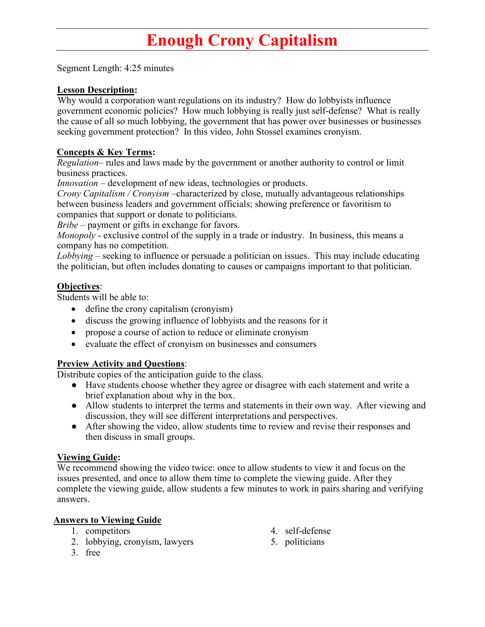# **Enough Crony Capitalism**

Segment Length: 4:25 minutes

#### **Lesson Description:**

Why would a corporation want regulations on its industry? How do lobbyists influence government economic policies? How much lobbying is really just self-defense? What is really the cause of all so much lobbying, the government that has power over businesses or businesses seeking government protection? In this video, John Stossel examines cronyism.

#### **Concepts & Key Terms:**

*Regulation–* rules and laws made by the government or another authority to control or limit business practices.

*Innovation* – development of new ideas, technologies or products.

*Crony Capitalism / Cronyism* –characterized by close, mutually advantageous relationships between business leaders and government officials; showing preference or favoritism to companies that support or donate to politicians.

*Bribe* – payment or gifts in exchange for favors.

*Monopoly* - exclusive control of the supply in a trade or industry. In business, this means a company has no competition.

*Lobbying* – seeking to influence or persuade a politician on issues. This may include educating the politician, but often includes donating to causes or campaigns important to that politician.

#### **Objectives**:

Students will be able to:

- define the crony capitalism (cronyism)
- discuss the growing influence of lobbyists and the reasons for it
- propose a course of action to reduce or eliminate cronyism
- evaluate the effect of cronyism on businesses and consumers

#### **Preview Activity and Questions**:

Distribute copies of the anticipation guide to the class.

- Have students choose whether they agree or disagree with each statement and write a brief explanation about why in the box.
- Allow students to interpret the terms and statements in their own way. After viewing and discussion, they will see different interpretations and perspectives.
- After showing the video, allow students time to review and revise their responses and then discuss in small groups.

#### **Viewing Guide:**

We recommend showing the video twice: once to allow students to view it and focus on the issues presented, and once to allow them time to complete the viewing guide. After they complete the viewing guide, allow students a few minutes to work in pairs sharing and verifying answers.

#### **Answers to Viewing Guide**

- 1. competitors
- 2. lobbying, cronyism, lawyers
- 3. free
- 4. self-defense
- 5. politicians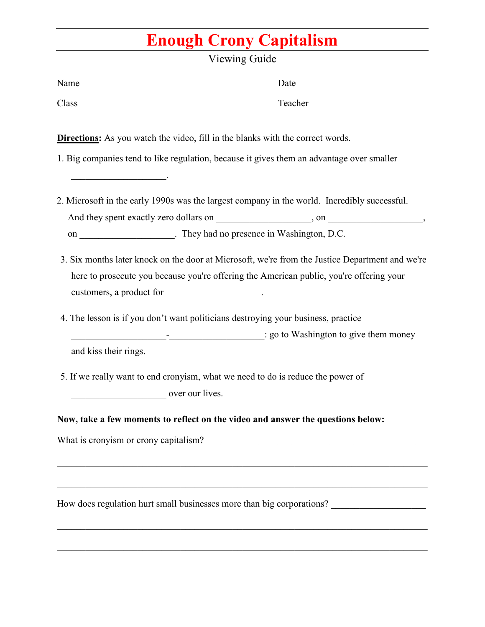# **Enough Crony Capitalism**

| Viewing Guide         |                                                                                                                                                                                                                  |  |  |  |
|-----------------------|------------------------------------------------------------------------------------------------------------------------------------------------------------------------------------------------------------------|--|--|--|
| Name                  | Date                                                                                                                                                                                                             |  |  |  |
| Class                 | Teacher                                                                                                                                                                                                          |  |  |  |
|                       | <b>Directions:</b> As you watch the video, fill in the blanks with the correct words.                                                                                                                            |  |  |  |
|                       | 1. Big companies tend to like regulation, because it gives them an advantage over smaller                                                                                                                        |  |  |  |
|                       | 2. Microsoft in the early 1990s was the largest company in the world. Incredibly successful.                                                                                                                     |  |  |  |
|                       | on ______________________. They had no presence in Washington, D.C.                                                                                                                                              |  |  |  |
|                       | 3. Six months later knock on the door at Microsoft, we're from the Justice Department and we're<br>here to prosecute you because you're offering the American public, you're offering your                       |  |  |  |
|                       | 4. The lesson is if you don't want politicians destroying your business, practice                                                                                                                                |  |  |  |
| and kiss their rings. | go to Washington to give them money                                                                                                                                                                              |  |  |  |
| over our lives.       | 5. If we really want to end cronyism, what we need to do is reduce the power of                                                                                                                                  |  |  |  |
|                       | Now, take a few moments to reflect on the video and answer the questions below:                                                                                                                                  |  |  |  |
|                       |                                                                                                                                                                                                                  |  |  |  |
|                       |                                                                                                                                                                                                                  |  |  |  |
|                       | <u> 1989 - Johann Stoff, deutscher Stoff, der Stoff, der Stoff, der Stoff, der Stoff, der Stoff, der Stoff, der S</u><br>How does regulation hurt small businesses more than big corporations? _________________ |  |  |  |
|                       |                                                                                                                                                                                                                  |  |  |  |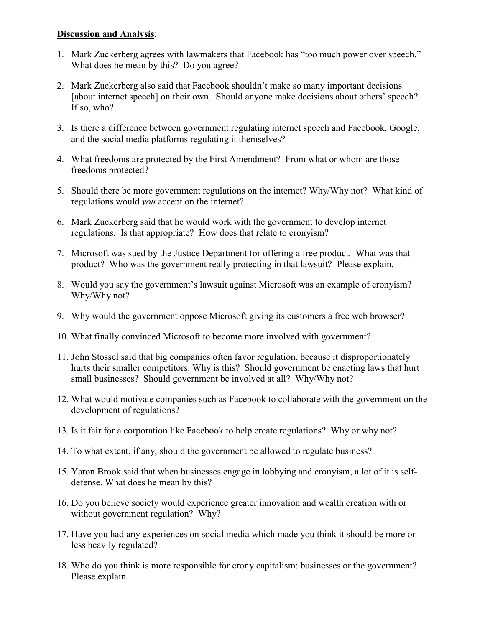#### **Discussion and Analysis**:

- 1. Mark Zuckerberg agrees with lawmakers that Facebook has "too much power over speech." What does he mean by this? Do you agree?
- 2. Mark Zuckerberg also said that Facebook shouldn't make so many important decisions [about internet speech] on their own. Should anyone make decisions about others' speech? If so, who?
- 3. Is there a difference between government regulating internet speech and Facebook, Google, and the social media platforms regulating it themselves?
- 4. What freedoms are protected by the First Amendment? From what or whom are those freedoms protected?
- 5. Should there be more government regulations on the internet? Why/Why not? What kind of regulations would *you* accept on the internet?
- 6. Mark Zuckerberg said that he would work with the government to develop internet regulations. Is that appropriate? How does that relate to cronyism?
- 7. Microsoft was sued by the Justice Department for offering a free product. What was that product? Who was the government really protecting in that lawsuit? Please explain.
- 8. Would you say the government's lawsuit against Microsoft was an example of cronyism? Why/Why not?
- 9. Why would the government oppose Microsoft giving its customers a free web browser?
- 10. What finally convinced Microsoft to become more involved with government?
- 11. John Stossel said that big companies often favor regulation, because it disproportionately hurts their smaller competitors. Why is this? Should government be enacting laws that hurt small businesses? Should government be involved at all? Why/Why not?
- 12. What would motivate companies such as Facebook to collaborate with the government on the development of regulations?
- 13. Is it fair for a corporation like Facebook to help create regulations? Why or why not?
- 14. To what extent, if any, should the government be allowed to regulate business?
- 15. Yaron Brook said that when businesses engage in lobbying and cronyism, a lot of it is selfdefense. What does he mean by this?
- 16. Do you believe society would experience greater innovation and wealth creation with or without government regulation? Why?
- 17. Have you had any experiences on social media which made you think it should be more or less heavily regulated?
- 18. Who do you think is more responsible for crony capitalism: businesses or the government? Please explain.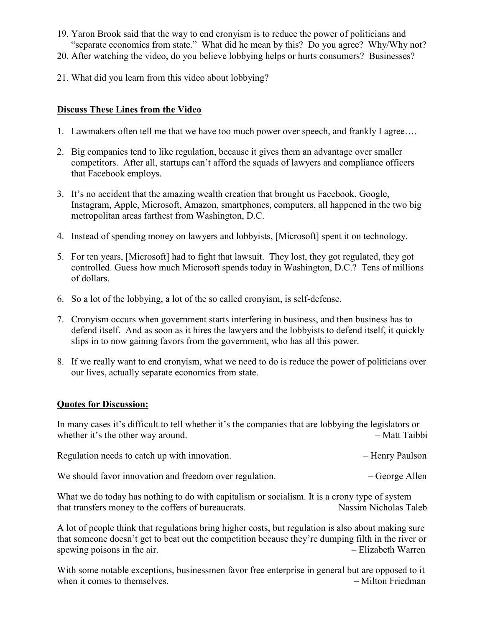- 19. Yaron Brook said that the way to end cronyism is to reduce the power of politicians and "separate economics from state." What did he mean by this? Do you agree? Why/Why not?
- 20. After watching the video, do you believe lobbying helps or hurts consumers? Businesses?
- 21. What did you learn from this video about lobbying?

#### **Discuss These Lines from the Video**

- 1. Lawmakers often tell me that we have too much power over speech, and frankly I agree….
- 2. Big companies tend to like regulation, because it gives them an advantage over smaller competitors. After all, startups can't afford the squads of lawyers and compliance officers that Facebook employs.
- 3. It's no accident that the amazing wealth creation that brought us Facebook, Google, Instagram, Apple, Microsoft, Amazon, smartphones, computers, all happened in the two big metropolitan areas farthest from Washington, D.C.
- 4. Instead of spending money on lawyers and lobbyists, [Microsoft] spent it on technology.
- 5. For ten years, [Microsoft] had to fight that lawsuit. They lost, they got regulated, they got controlled. Guess how much Microsoft spends today in Washington, D.C.? Tens of millions of dollars.
- 6. So a lot of the lobbying, a lot of the so called cronyism, is self-defense.
- 7. Cronyism occurs when government starts interfering in business, and then business has to defend itself. And as soon as it hires the lawyers and the lobbyists to defend itself, it quickly slips in to now gaining favors from the government, who has all this power.
- 8. If we really want to end cronyism, what we need to do is reduce the power of politicians over our lives, actually separate economics from state.

#### **Quotes for Discussion:**

In many cases it's difficult to tell whether it's the companies that are lobbying the legislators or whether it's the other way around.  $-Matt$  Taibbi

Regulation needs to catch up with innovation. The example of the Henry Paulson and Henry Paulson

We should favor innovation and freedom over regulation.  $-$  George Allen

What we do today has nothing to do with capitalism or socialism. It is a crony type of system that transfers money to the coffers of bureaucrats. – Nassim Nicholas Taleb

A lot of people think that regulations bring higher costs, but regulation is also about making sure that someone doesn't get to beat out the competition because they're dumping filth in the river or spewing poisons in the air.  $-$  Elizabeth Warren

With some notable exceptions, businessmen favor free enterprise in general but are opposed to it when it comes to themselves.  $-$  Milton Friedman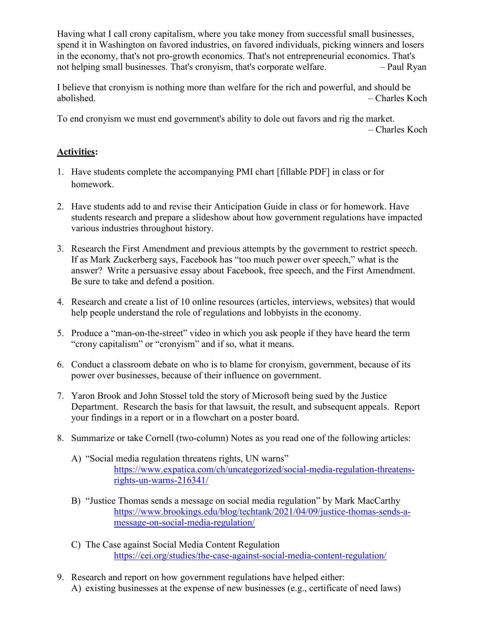Having what I call crony capitalism, where you take money from successful small businesses, spend it in Washington on favored industries, on favored individuals, picking winners and losers in the economy, that's not pro-growth economics. That's not entrepreneurial economics. That's not helping small businesses. That's cronyism, that's corporate welfare.  $\qquad -$  Paul Ryan

I believe that cronyism is nothing more than welfare for the rich and powerful, and should be abolished. – Charles Koch

To end cronyism we must end government's ability to dole out favors and rig the market. – Charles Koch

#### **Activities:**

- 1. Have students complete the accompanying PMI chart [fillable PDF] in class or for homework.
- 2. Have students add to and revise their Anticipation Guide in class or for homework. Have students research and prepare a slideshow about how government regulations have impacted various industries throughout history.
- 3. Research the First Amendment and previous attempts by the government to restrict speech. If as Mark Zuckerberg says, Facebook has "too much power over speech," what is the answer? Write a persuasive essay about Facebook, free speech, and the First Amendment. Be sure to take and defend a position.
- 4. Research and create a list of 10 online resources (articles, interviews, websites) that would help people understand the role of regulations and lobbyists in the economy.
- 5. Produce a "man-on-the-street" video in which you ask people if they have heard the term "crony capitalism" or "cronyism" and if so, what it means.
- 6. Conduct a classroom debate on who is to blame for cronyism, government, because of its power over businesses, because of their influence on government.
- 7. Yaron Brook and John Stossel told the story of Microsoft being sued by the Justice Department. Research the basis for that lawsuit, the result, and subsequent appeals. Report your findings in a report or in a flowchart on a poster board.
- 8. Summarize or take Cornell (two-column) Notes as you read one of the following articles:
	- A) "Social media regulation threatens rights, UN warns" [https://www.expatica.com/ch/uncategorized/social-media-regulation-threatens](https://www.expatica.com/ch/uncategorized/social-media-regulation-threatens-rights-un-warns-216341/)[rights-un-warns-216341/](https://www.expatica.com/ch/uncategorized/social-media-regulation-threatens-rights-un-warns-216341/)
	- B) "Justice Thomas sends a message on social media regulation" by Mark MacCarthy [https://www.brookings.edu/blog/techtank/2021/04/09/justice-thomas-sends-a](https://www.brookings.edu/blog/techtank/2021/04/09/justice-thomas-sends-a-message-on-social-media-regulation/)[message-on-social-media-regulation/](https://www.brookings.edu/blog/techtank/2021/04/09/justice-thomas-sends-a-message-on-social-media-regulation/)
	- C) The Case against Social Media Content Regulation <https://cei.org/studies/the-case-against-social-media-content-regulation/>
- 9. Research and report on how government regulations have helped either: A) existing businesses at the expense of new businesses (e.g., certificate of need laws)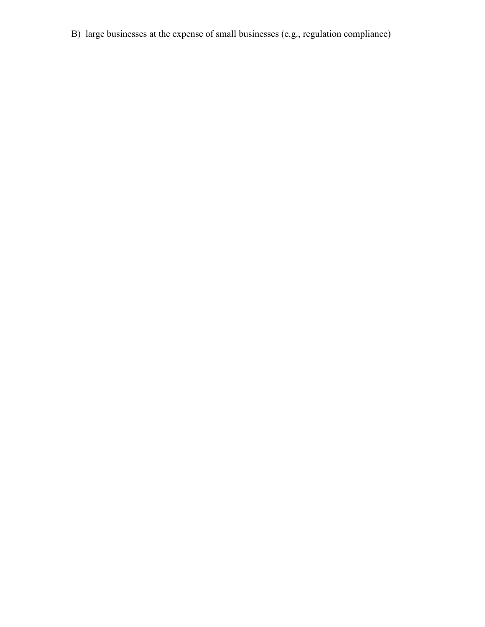B) large businesses at the expense of small businesses (e.g., regulation compliance)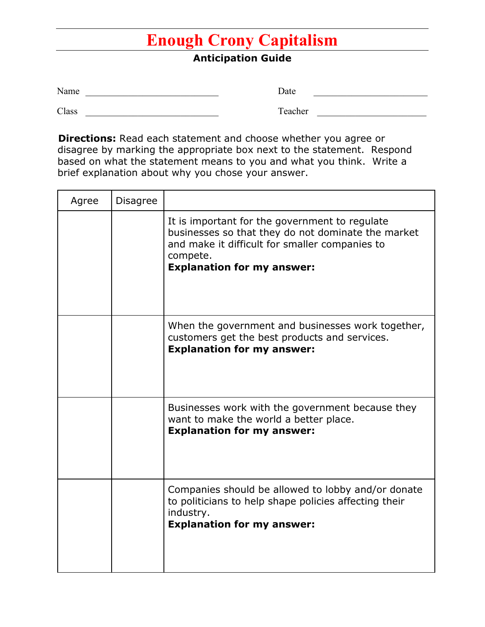## **Enough Crony Capitalism**

### **Anticipation Guide**

| Name  | Date                     |  |
|-------|--------------------------|--|
| Class | Teacher<br>$\alpha$ uunu |  |

**Directions:** Read each statement and choose whether you agree or disagree by marking the appropriate box next to the statement. Respond based on what the statement means to you and what you think. Write a brief explanation about why you chose your answer.

| Agree | <b>Disagree</b> |                                                                                                                                                                                                         |
|-------|-----------------|---------------------------------------------------------------------------------------------------------------------------------------------------------------------------------------------------------|
|       |                 | It is important for the government to regulate<br>businesses so that they do not dominate the market<br>and make it difficult for smaller companies to<br>compete.<br><b>Explanation for my answer:</b> |
|       |                 | When the government and businesses work together,<br>customers get the best products and services.<br><b>Explanation for my answer:</b>                                                                 |
|       |                 | Businesses work with the government because they<br>want to make the world a better place.<br><b>Explanation for my answer:</b>                                                                         |
|       |                 | Companies should be allowed to lobby and/or donate<br>to politicians to help shape policies affecting their<br>industry.<br><b>Explanation for my answer:</b>                                           |